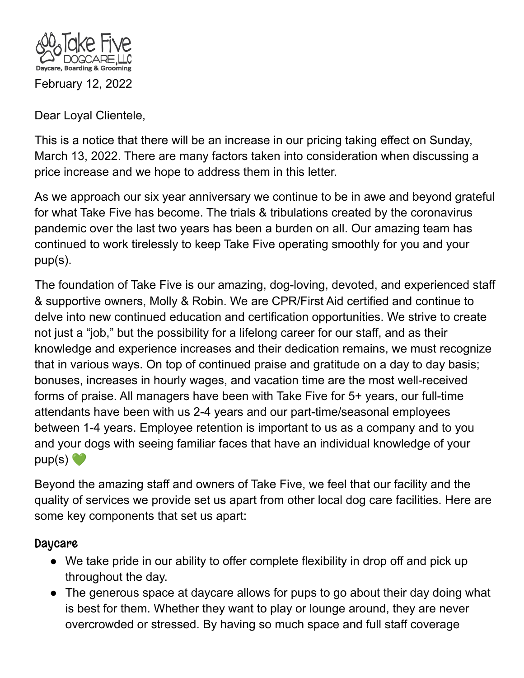

Dear Loyal Clientele,

This is a notice that there will be an increase in our pricing taking effect on Sunday, March 13, 2022. There are many factors taken into consideration when discussing a price increase and we hope to address them in this letter.

As we approach our six year anniversary we continue to be in awe and beyond grateful for what Take Five has become. The trials & tribulations created by the coronavirus pandemic over the last two years has been a burden on all. Our amazing team has continued to work tirelessly to keep Take Five operating smoothly for you and your pup(s).

The foundation of Take Five is our amazing, dog-loving, devoted, and experienced staff & supportive owners, Molly & Robin. We are CPR/First Aid certified and continue to delve into new continued education and certification opportunities. We strive to create not just a "job," but the possibility for a lifelong career for our staff, and as their knowledge and experience increases and their dedication remains, we must recognize that in various ways. On top of continued praise and gratitude on a day to day basis; bonuses, increases in hourly wages, and vacation time are the most well-received forms of praise. All managers have been with Take Five for 5+ years, our full-time attendants have been with us 2-4 years and our part-time/seasonal employees between 1-4 years. Employee retention is important to us as a company and to you and your dogs with seeing familiar faces that have an individual knowledge of your  $pup(s)$ 

Beyond the amazing staff and owners of Take Five, we feel that our facility and the quality of services we provide set us apart from other local dog care facilities. Here are some key components that set us apart:

## **Daycare**

- We take pride in our ability to offer complete flexibility in drop off and pick up throughout the day.
- The generous space at daycare allows for pups to go about their day doing what is best for them. Whether they want to play or lounge around, they are never overcrowded or stressed. By having so much space and full staff coverage